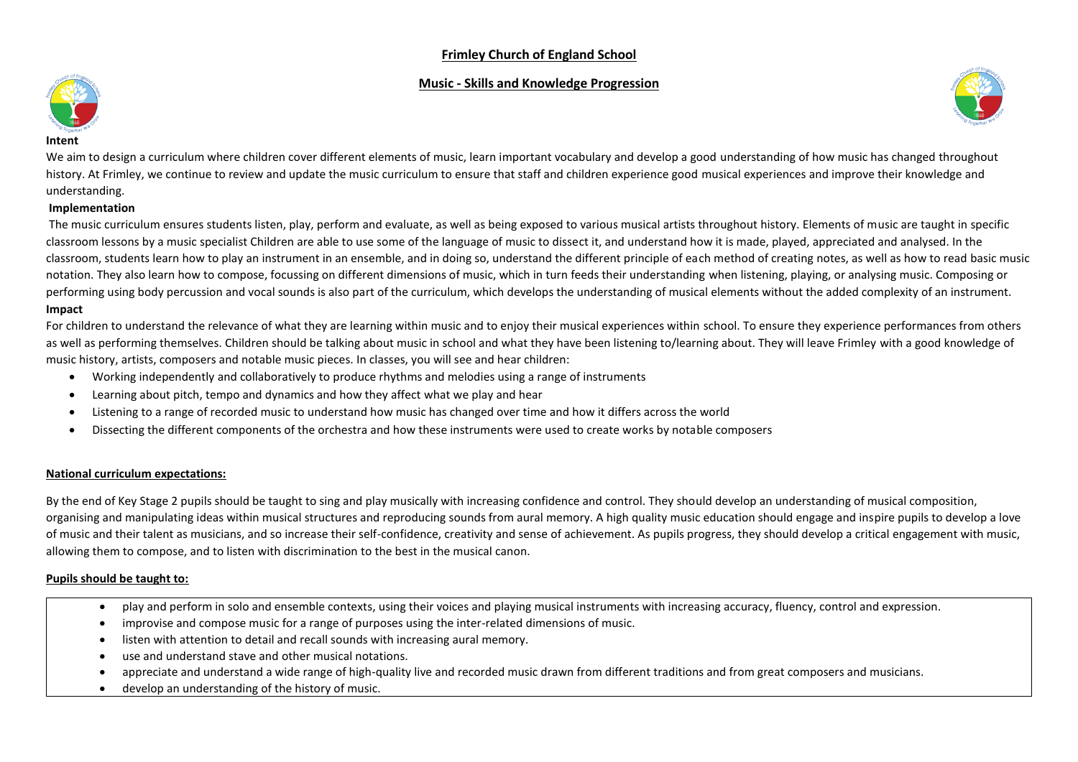## **Frimley Church of England School**

## **Music - Skills and Knowledge Progression**





#### **Intent**

We aim to design a curriculum where children cover different elements of music, learn important vocabulary and develop a good understanding of how music has changed throughout history. At Frimley, we continue to review and update the music curriculum to ensure that staff and children experience good musical experiences and improve their knowledge and understanding.

#### **Implementation**

The music curriculum ensures students listen, play, perform and evaluate, as well as being exposed to various musical artists throughout history. Elements of music are taught in specific classroom lessons by a music specialist Children are able to use some of the language of music to dissect it, and understand how it is made, played, appreciated and analysed. In the classroom, students learn how to play an instrument in an ensemble, and in doing so, understand the different principle of each method of creating notes, as well as how to read basic music notation. They also learn how to compose, focussing on different dimensions of music, which in turn feeds their understanding when listening, playing, or analysing music. Composing or performing using body percussion and vocal sounds is also part of the curriculum, which develops the understanding of musical elements without the added complexity of an instrument. **Impact**

For children to understand the relevance of what they are learning within music and to enjoy their musical experiences within school. To ensure they experience performances from others as well as performing themselves. Children should be talking about music in school and what they have been listening to/learning about. They will leave Frimley with a good knowledge of music history, artists, composers and notable music pieces. In classes, you will see and hear children:

- Working independently and collaboratively to produce rhythms and melodies using a range of instruments
- Learning about pitch, tempo and dynamics and how they affect what we play and hear
- Listening to a range of recorded music to understand how music has changed over time and how it differs across the world
- Dissecting the different components of the orchestra and how these instruments were used to create works by notable composers

### **National curriculum expectations:**

By the end of Key Stage 2 pupils should be taught to sing and play musically with increasing confidence and control. They should develop an understanding of musical composition, organising and manipulating ideas within musical structures and reproducing sounds from aural memory. A high quality music education should engage and inspire pupils to develop a love of music and their talent as musicians, and so increase their self-confidence, creativity and sense of achievement. As pupils progress, they should develop a critical engagement with music, allowing them to compose, and to listen with discrimination to the best in the musical canon.

### **Pupils should be taught to:**

- play and perform in solo and ensemble contexts, using their voices and playing musical instruments with increasing accuracy, fluency, control and expression.
- improvise and compose music for a range of purposes using the inter-related dimensions of music.
- listen with attention to detail and recall sounds with increasing aural memory.
- use and understand stave and other musical notations.
- appreciate and understand a wide range of high-quality live and recorded music drawn from different traditions and from great composers and musicians.
- develop an understanding of the history of music.